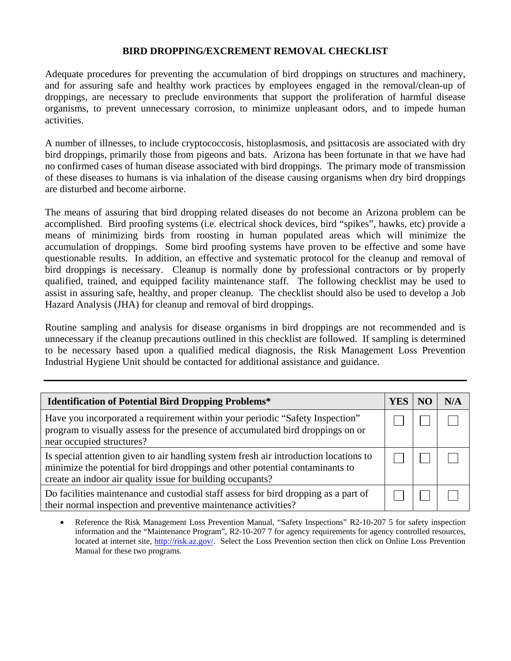## **BIRD DROPPING/EXCREMENT REMOVAL CHECKLIST**

Adequate procedures for preventing the accumulation of bird droppings on structures and machinery, and for assuring safe and healthy work practices by employees engaged in the removal/clean-up of droppings, are necessary to preclude environments that support the proliferation of harmful disease organisms, to prevent unnecessary corrosion, to minimize unpleasant odors, and to impede human activities.

A number of illnesses, to include cryptococcosis, histoplasmosis, and psittacosis are associated with dry bird droppings, primarily those from pigeons and bats. Arizona has been fortunate in that we have had no confirmed cases of human disease associated with bird droppings. The primary mode of transmission of these diseases to humans is via inhalation of the disease causing organisms when dry bird droppings are disturbed and become airborne.

The means of assuring that bird dropping related diseases do not become an Arizona problem can be accomplished. Bird proofing systems (i.e. electrical shock devices, bird "spikes", hawks, etc) provide a means of minimizing birds from roosting in human populated areas which will minimize the accumulation of droppings. Some bird proofing systems have proven to be effective and some have questionable results. In addition, an effective and systematic protocol for the cleanup and removal of bird droppings is necessary. Cleanup is normally done by professional contractors or by properly qualified, trained, and equipped facility maintenance staff. The following checklist may be used to assist in assuring safe, healthy, and proper cleanup. The checklist should also be used to develop a Job Hazard Analysis (JHA) for cleanup and removal of bird droppings.

Routine sampling and analysis for disease organisms in bird droppings are not recommended and is unnecessary if the cleanup precautions outlined in this checklist are followed. If sampling is determined to be necessary based upon a qualified medical diagnosis, the Risk Management Loss Prevention Industrial Hygiene Unit should be contacted for additional assistance and guidance.

| <b>Identification of Potential Bird Dropping Problems*</b>                                                                                                                                                                           | YES | N/A |
|--------------------------------------------------------------------------------------------------------------------------------------------------------------------------------------------------------------------------------------|-----|-----|
| Have you incorporated a requirement within your periodic "Safety Inspection"<br>program to visually assess for the presence of accumulated bird droppings on or<br>near occupied structures?                                         |     |     |
| Is special attention given to air handling system fresh air introduction locations to<br>minimize the potential for bird droppings and other potential contaminants to<br>create an indoor air quality issue for building occupants? |     |     |
| Do facilities maintenance and custodial staff assess for bird dropping as a part of<br>their normal inspection and preventive maintenance activities?                                                                                |     |     |

• Reference the Risk Management Loss Prevention Manual, "Safety Inspections" R2-10-207 5 for safety inspection information and the "Maintenance Program", R2-10-207 7 for agency requirements for agency controlled resources, located at internet site, [http://risk.az.gov/.](http://risk.az.gov/) Select the Loss Prevention section then click on Online Loss Prevention Manual for these two programs.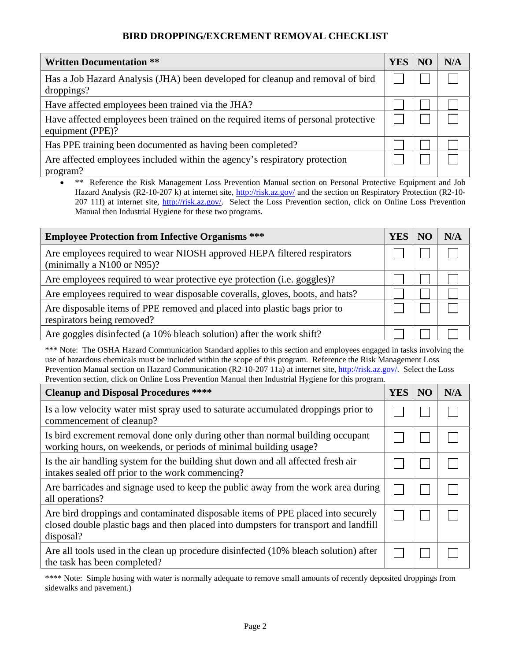## **BIRD DROPPING/EXCREMENT REMOVAL CHECKLIST**

| <b>Written Documentation **</b>                                                                       | <b>YES</b> | NG. | N/A |
|-------------------------------------------------------------------------------------------------------|------------|-----|-----|
| Has a Job Hazard Analysis (JHA) been developed for cleanup and removal of bird<br>droppings?          |            |     |     |
| Have affected employees been trained via the JHA?                                                     |            |     |     |
| Have affected employees been trained on the required items of personal protective<br>equipment (PPE)? |            |     |     |
| Has PPE training been documented as having been completed?                                            |            |     |     |
| Are affected employees included within the agency's respiratory protection<br>program?                |            |     |     |

• \*\* Reference the Risk Management Loss Prevention Manual section on Personal Protective Equipment and Job Hazard Analysis (R2-10-207 k) at internet site, <http://risk.az.gov/>and the section on Respiratory Protection (R2-10207 11I) at internet site, <http://risk.az.gov/>. Select the Loss Prevention section, click on Online Loss Prevention Manual then Industrial Hygiene for these two programs.

| <b>Employee Protection from Infective Organisms ***</b>                                                 | YES | N/A |
|---------------------------------------------------------------------------------------------------------|-----|-----|
| Are employees required to wear NIOSH approved HEPA filtered respirators<br>(minimally a N100 or N95)?   |     |     |
| Are employees required to wear protective eye protection (i.e. goggles)?                                |     |     |
| Are employees required to wear disposable coveralls, gloves, boots, and hats?                           |     |     |
| Are disposable items of PPE removed and placed into plastic bags prior to<br>respirators being removed? |     |     |
| Are goggles disinfected (a 10% bleach solution) after the work shift?                                   |     |     |

\*\*\* Note: The OSHA Hazard Communication Standard applies to this section and employees engaged in tasks involving the use of hazardous chemicals must be included within the scope of this program. Reference the Risk Management Loss Prevention Manual section on Hazard Communication (R2-10-207 11a) at internet site, <http://risk.az.gov/>. Select the Loss Prevention section, click on Online Loss Prevention Manual then Industrial Hygiene for this program.

| <b>Cleanup and Disposal Procedures ****</b>                                                                                                                                           | <b>YES</b> | NO | N/A |
|---------------------------------------------------------------------------------------------------------------------------------------------------------------------------------------|------------|----|-----|
| Is a low velocity water mist spray used to saturate accumulated droppings prior to<br>commencement of cleanup?                                                                        |            |    |     |
| Is bird excrement removal done only during other than normal building occupant<br>working hours, on weekends, or periods of minimal building usage?                                   |            |    |     |
| Is the air handling system for the building shut down and all affected fresh air<br>intakes sealed off prior to the work commencing?                                                  |            |    |     |
| Are barricades and signage used to keep the public away from the work area during<br>all operations?                                                                                  |            |    |     |
| Are bird droppings and contaminated disposable items of PPE placed into securely<br>closed double plastic bags and then placed into dumpsters for transport and landfill<br>disposal? |            |    |     |
| Are all tools used in the clean up procedure disinfected (10% bleach solution) after<br>the task has been completed?                                                                  |            |    |     |

\*\*\*\* Note: Simple hosing with water is normally adequate to remove small amounts of recently deposited droppings from sidewalks and pavement.)